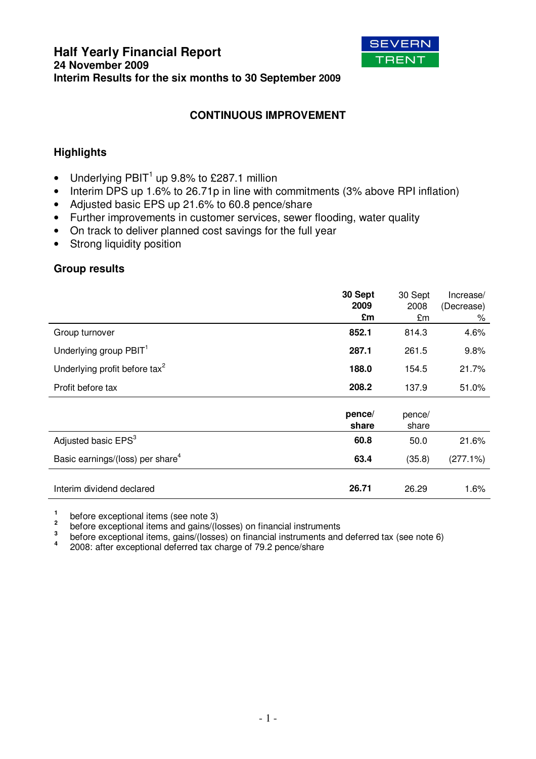

# **CONTINUOUS IMPROVEMENT**

# **Highlights**

- Underlying PBIT<sup>1</sup> up 9.8% to £287.1 million
- Interim DPS up 1.6% to 26.71p in line with commitments (3% above RPI inflation)
- Adjusted basic EPS up 21.6% to 60.8 pence/share
- Further improvements in customer services, sewer flooding, water quality
- On track to deliver planned cost savings for the full year
- Strong liquidity position

### **Group results**

|                                              | 30 Sept<br>2009<br>£m | 30 Sept<br>2008<br>£m | Increase/<br>(Decrease)<br>% |
|----------------------------------------------|-----------------------|-----------------------|------------------------------|
| Group turnover                               | 852.1                 | 814.3                 | 4.6%                         |
| Underlying group PBIT <sup>1</sup>           | 287.1                 | 261.5                 | 9.8%                         |
| Underlying profit before tax <sup>2</sup>    | 188.0                 | 154.5                 | 21.7%                        |
| Profit before tax                            | 208.2                 | 137.9                 | 51.0%                        |
|                                              | pence/<br>share       | pence/<br>share       |                              |
| Adjusted basic EPS <sup>3</sup>              | 60.8                  | 50.0                  | 21.6%                        |
| Basic earnings/(loss) per share <sup>4</sup> | 63.4                  | (35.8)                | (277.1%)                     |
| Interim dividend declared                    | 26.71                 | 26.29                 | 1.6%                         |

**1** before exceptional items (see note 3)

**2** before exceptional items and gains/(losses) on financial instruments

**3** before exceptional items, gains/(losses) on financial instruments and deferred tax (see note 6)

**4** 2008: after exceptional deferred tax charge of 79.2 pence/share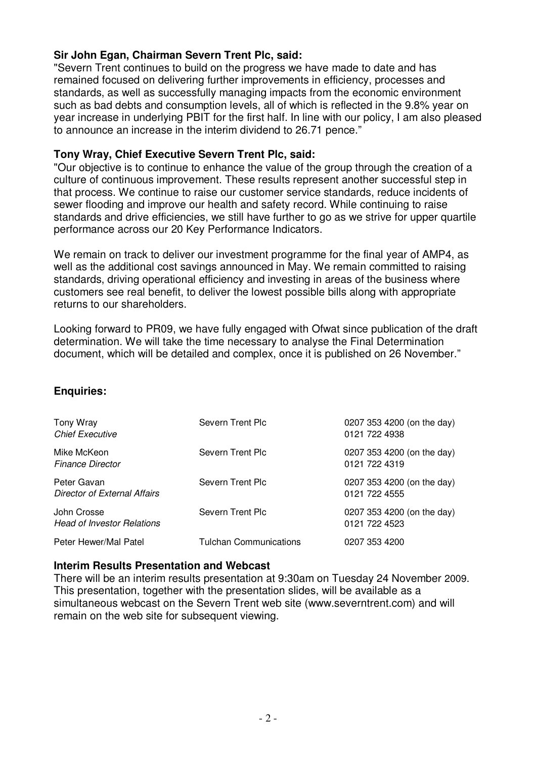# **Sir John Egan, Chairman Severn Trent Plc, said:**

"Severn Trent continues to build on the progress we have made to date and has remained focused on delivering further improvements in efficiency, processes and standards, as well as successfully managing impacts from the economic environment such as bad debts and consumption levels, all of which is reflected in the 9.8% year on year increase in underlying PBIT for the first half. In line with our policy, I am also pleased to announce an increase in the interim dividend to 26.71 pence."

### **Tony Wray, Chief Executive Severn Trent Plc, said:**

"Our objective is to continue to enhance the value of the group through the creation of a culture of continuous improvement. These results represent another successful step in that process. We continue to raise our customer service standards, reduce incidents of sewer flooding and improve our health and safety record. While continuing to raise standards and drive efficiencies, we still have further to go as we strive for upper quartile performance across our 20 Key Performance Indicators.

We remain on track to deliver our investment programme for the final year of AMP4, as well as the additional cost savings announced in May. We remain committed to raising standards, driving operational efficiency and investing in areas of the business where customers see real benefit, to deliver the lowest possible bills along with appropriate returns to our shareholders.

Looking forward to PR09, we have fully engaged with Ofwat since publication of the draft determination. We will take the time necessary to analyse the Final Determination document, which will be detailed and complex, once it is published on 26 November."

# **Enquiries:**

| Tony Wray<br><b>Chief Executive</b>              | Severn Trent Plc       | 0207 353 4200 (on the day)<br>0121 722 4938 |
|--------------------------------------------------|------------------------|---------------------------------------------|
| Mike McKeon<br><b>Finance Director</b>           | Severn Trent Plc       | 0207 353 4200 (on the day)<br>0121 722 4319 |
| Peter Gavan<br>Director of External Affairs      | Severn Trent Plc       | 0207 353 4200 (on the day)<br>0121 722 4555 |
| John Crosse<br><b>Head of Investor Relations</b> | Severn Trent Plc       | 0207 353 4200 (on the day)<br>0121 722 4523 |
| Peter Hewer/Mal Patel                            | Tulchan Communications | 0207 353 4200                               |

### **Interim Results Presentation and Webcast**

There will be an interim results presentation at 9:30am on Tuesday 24 November 2009. This presentation, together with the presentation slides, will be available as a simultaneous webcast on the Severn Trent web site (www.severntrent.com) and will remain on the web site for subsequent viewing.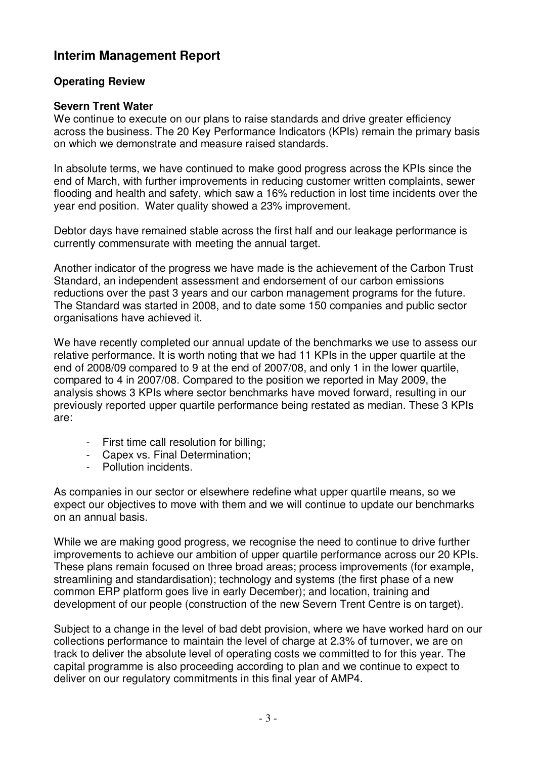# **Interim Management Report**

# **Operating Review**

# **Severn Trent Water**

We continue to execute on our plans to raise standards and drive greater efficiency across the business. The 20 Key Performance Indicators (KPIs) remain the primary basis on which we demonstrate and measure raised standards.

In absolute terms, we have continued to make good progress across the KPIs since the end of March, with further improvements in reducing customer written complaints, sewer flooding and health and safety, which saw a 16% reduction in lost time incidents over the year end position. Water quality showed a 23% improvement.

Debtor days have remained stable across the first half and our leakage performance is currently commensurate with meeting the annual target.

Another indicator of the progress we have made is the achievement of the Carbon Trust Standard, an independent assessment and endorsement of our carbon emissions reductions over the past 3 years and our carbon management programs for the future. The Standard was started in 2008, and to date some 150 companies and public sector organisations have achieved it.

We have recently completed our annual update of the benchmarks we use to assess our relative performance. It is worth noting that we had 11 KPIs in the upper quartile at the end of 2008/09 compared to 9 at the end of 2007/08, and only 1 in the lower quartile, compared to 4 in 2007/08. Compared to the position we reported in May 2009, the analysis shows 3 KPIs where sector benchmarks have moved forward, resulting in our previously reported upper quartile performance being restated as median. These 3 KPIs are:

- First time call resolution for billing;
- Capex vs. Final Determination;
- Pollution incidents.

As companies in our sector or elsewhere redefine what upper quartile means, so we expect our objectives to move with them and we will continue to update our benchmarks on an annual basis.

While we are making good progress, we recognise the need to continue to drive further improvements to achieve our ambition of upper quartile performance across our 20 KPIs. These plans remain focused on three broad areas; process improvements (for example, streamlining and standardisation); technology and systems (the first phase of a new common ERP platform goes live in early December); and location, training and development of our people (construction of the new Severn Trent Centre is on target).

Subject to a change in the level of bad debt provision, where we have worked hard on our collections performance to maintain the level of charge at 2.3% of turnover, we are on track to deliver the absolute level of operating costs we committed to for this year. The capital programme is also proceeding according to plan and we continue to expect to deliver on our regulatory commitments in this final year of AMP4.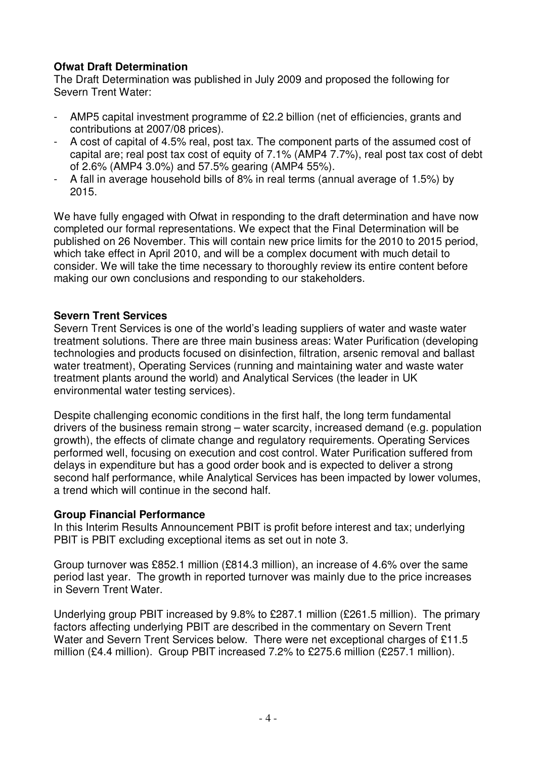# **Ofwat Draft Determination**

The Draft Determination was published in July 2009 and proposed the following for Severn Trent Water:

- AMP5 capital investment programme of £2.2 billion (net of efficiencies, grants and contributions at 2007/08 prices).
- A cost of capital of 4.5% real, post tax. The component parts of the assumed cost of capital are; real post tax cost of equity of 7.1% (AMP4 7.7%), real post tax cost of debt of 2.6% (AMP4 3.0%) and 57.5% gearing (AMP4 55%).
- A fall in average household bills of 8% in real terms (annual average of 1.5%) by 2015.

We have fully engaged with Ofwat in responding to the draft determination and have now completed our formal representations. We expect that the Final Determination will be published on 26 November. This will contain new price limits for the 2010 to 2015 period, which take effect in April 2010, and will be a complex document with much detail to consider. We will take the time necessary to thoroughly review its entire content before making our own conclusions and responding to our stakeholders.

# **Severn Trent Services**

Severn Trent Services is one of the world's leading suppliers of water and waste water treatment solutions. There are three main business areas: Water Purification (developing technologies and products focused on disinfection, filtration, arsenic removal and ballast water treatment), Operating Services (running and maintaining water and waste water treatment plants around the world) and Analytical Services (the leader in UK environmental water testing services).

Despite challenging economic conditions in the first half, the long term fundamental drivers of the business remain strong – water scarcity, increased demand (e.g. population growth), the effects of climate change and regulatory requirements. Operating Services performed well, focusing on execution and cost control. Water Purification suffered from delays in expenditure but has a good order book and is expected to deliver a strong second half performance, while Analytical Services has been impacted by lower volumes, a trend which will continue in the second half.

### **Group Financial Performance**

In this Interim Results Announcement PBIT is profit before interest and tax; underlying PBIT is PBIT excluding exceptional items as set out in note 3.

Group turnover was £852.1 million (£814.3 million), an increase of 4.6% over the same period last year. The growth in reported turnover was mainly due to the price increases in Severn Trent Water.

Underlying group PBIT increased by 9.8% to £287.1 million (£261.5 million). The primary factors affecting underlying PBIT are described in the commentary on Severn Trent Water and Severn Trent Services below. There were net exceptional charges of £11.5 million (£4.4 million). Group PBIT increased 7.2% to £275.6 million (£257.1 million).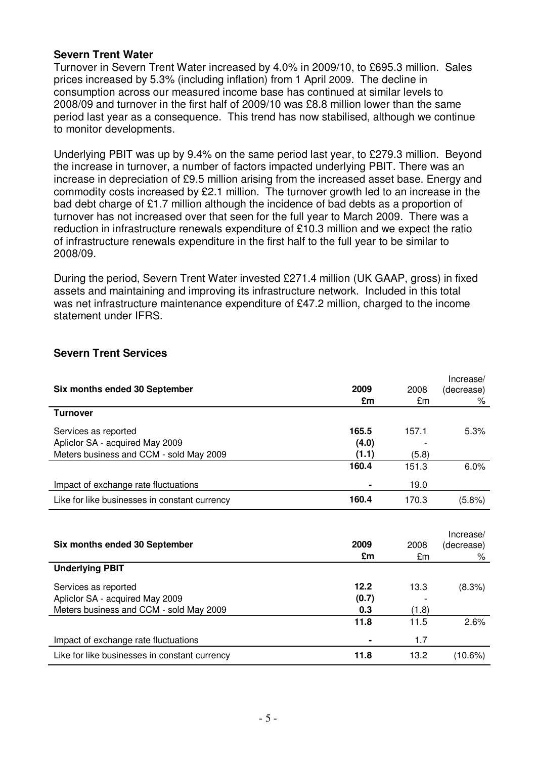### **Severn Trent Water**

Turnover in Severn Trent Water increased by 4.0% in 2009/10, to £695.3 million. Sales prices increased by 5.3% (including inflation) from 1 April 2009. The decline in consumption across our measured income base has continued at similar levels to 2008/09 and turnover in the first half of 2009/10 was £8.8 million lower than the same period last year as a consequence. This trend has now stabilised, although we continue to monitor developments.

Underlying PBIT was up by 9.4% on the same period last year, to £279.3 million. Beyond the increase in turnover, a number of factors impacted underlying PBIT. There was an increase in depreciation of £9.5 million arising from the increased asset base. Energy and commodity costs increased by £2.1 million. The turnover growth led to an increase in the bad debt charge of £1.7 million although the incidence of bad debts as a proportion of turnover has not increased over that seen for the full year to March 2009. There was a reduction in infrastructure renewals expenditure of £10.3 million and we expect the ratio of infrastructure renewals expenditure in the first half to the full year to be similar to 2008/09.

During the period, Severn Trent Water invested £271.4 million (UK GAAP, gross) in fixed assets and maintaining and improving its infrastructure network. Included in this total was net infrastructure maintenance expenditure of £47.2 million, charged to the income statement under IFRS.

|                                               |                |       | Increase/  |
|-----------------------------------------------|----------------|-------|------------|
| Six months ended 30 September                 | 2009           | 2008  | (decrease) |
|                                               | £m             | £m    | ℅          |
| <b>Turnover</b>                               |                |       |            |
| Services as reported                          | 165.5          | 157.1 | 5.3%       |
| Apliclor SA - acquired May 2009               | (4.0)          |       |            |
| Meters business and CCM - sold May 2009       | (1.1)          | (5.8) |            |
|                                               | 160.4          | 151.3 | 6.0%       |
| Impact of exchange rate fluctuations          |                | 19.0  |            |
| Like for like businesses in constant currency | 160.4          | 170.3 | (5.8%)     |
|                                               |                |       |            |
|                                               |                |       | Increase/  |
| Six months ended 30 September                 | 2009           | 2008  | (decrease) |
|                                               | £m             | £m    | ℅          |
| <b>Underlying PBIT</b>                        |                |       |            |
| Services as reported                          | 12.2           | 13.3  | (8.3%)     |
| Apliclor SA - acquired May 2009               | (0.7)          |       |            |
| Meters business and CCM - sold May 2009       | 0.3            | (1.8) |            |
|                                               | 11.8           | 11.5  | 2.6%       |
| Impact of exchange rate fluctuations          | $\blacksquare$ | 1.7   |            |
| Like for like businesses in constant currency | 11.8           | 13.2  | $(10.6\%)$ |

# **Severn Trent Services**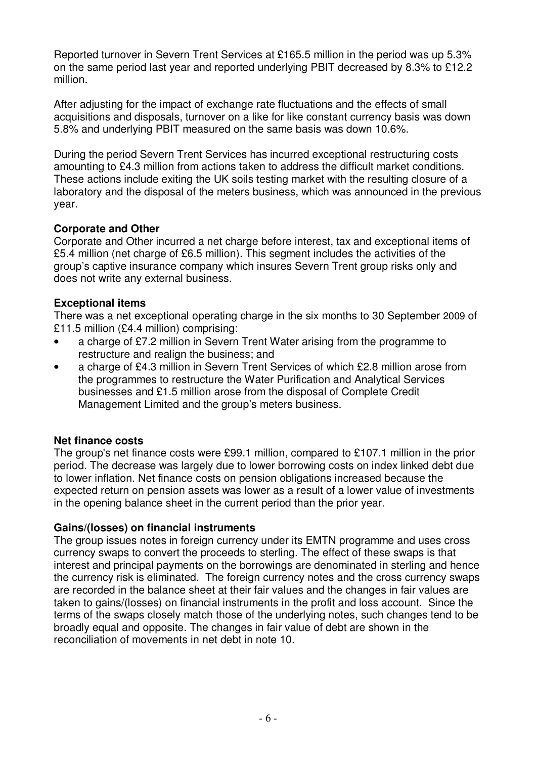Reported turnover in Severn Trent Services at £165.5 million in the period was up 5.3% on the same period last year and reported underlying PBIT decreased by 8.3% to £12.2 million.

After adjusting for the impact of exchange rate fluctuations and the effects of small acquisitions and disposals, turnover on a like for like constant currency basis was down 5.8% and underlying PBIT measured on the same basis was down 10.6%.

During the period Severn Trent Services has incurred exceptional restructuring costs amounting to £4.3 million from actions taken to address the difficult market conditions. These actions include exiting the UK soils testing market with the resulting closure of a laboratory and the disposal of the meters business, which was announced in the previous year.

# **Corporate and Other**

Corporate and Other incurred a net charge before interest, tax and exceptional items of £5.4 million (net charge of £6.5 million). This segment includes the activities of the group's captive insurance company which insures Severn Trent group risks only and does not write any external business.

# **Exceptional items**

There was a net exceptional operating charge in the six months to 30 September 2009 of £11.5 million (£4.4 million) comprising:

- a charge of £7.2 million in Severn Trent Water arising from the programme to restructure and realign the business; and
- a charge of £4.3 million in Severn Trent Services of which £2.8 million arose from the programmes to restructure the Water Purification and Analytical Services businesses and £1.5 million arose from the disposal of Complete Credit Management Limited and the group's meters business.

# **Net finance costs**

The group's net finance costs were £99.1 million, compared to £107.1 million in the prior period. The decrease was largely due to lower borrowing costs on index linked debt due to lower inflation. Net finance costs on pension obligations increased because the expected return on pension assets was lower as a result of a lower value of investments in the opening balance sheet in the current period than the prior year.

# **Gains/(losses) on financial instruments**

The group issues notes in foreign currency under its EMTN programme and uses cross currency swaps to convert the proceeds to sterling. The effect of these swaps is that interest and principal payments on the borrowings are denominated in sterling and hence the currency risk is eliminated. The foreign currency notes and the cross currency swaps are recorded in the balance sheet at their fair values and the changes in fair values are taken to gains/(losses) on financial instruments in the profit and loss account. Since the terms of the swaps closely match those of the underlying notes, such changes tend to be broadly equal and opposite. The changes in fair value of debt are shown in the reconciliation of movements in net debt in note 10.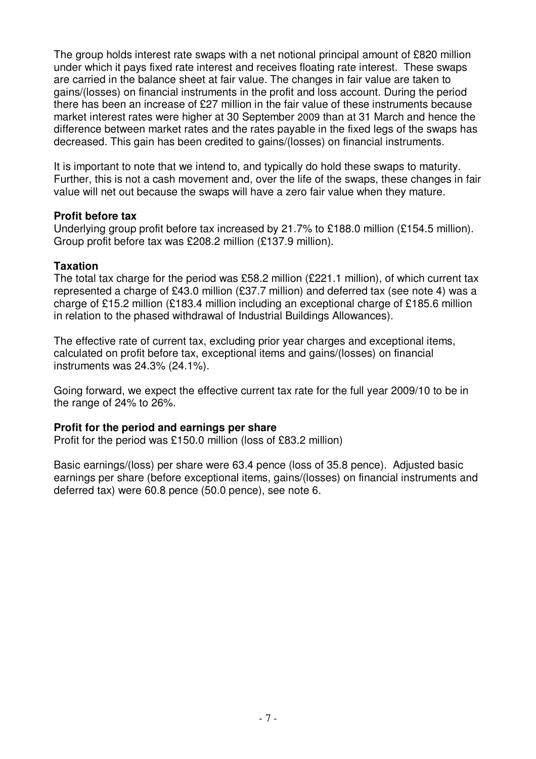The group holds interest rate swaps with a net notional principal amount of £820 million under which it pays fixed rate interest and receives floating rate interest. These swaps are carried in the balance sheet at fair value. The changes in fair value are taken to gains/(losses) on financial instruments in the profit and loss account. During the period there has been an increase of £27 million in the fair value of these instruments because market interest rates were higher at 30 September 2009 than at 31 March and hence the difference between market rates and the rates payable in the fixed legs of the swaps has decreased. This gain has been credited to gains/(losses) on financial instruments.

It is important to note that we intend to, and typically do hold these swaps to maturity. Further, this is not a cash movement and, over the life of the swaps, these changes in fair value will net out because the swaps will have a zero fair value when they mature.

### **Profit before tax**

Underlying group profit before tax increased by 21.7% to £188.0 million (£154.5 million). Group profit before tax was £208.2 million (£137.9 million).

### **Taxation**

The total tax charge for the period was £58.2 million (£221.1 million), of which current tax represented a charge of £43.0 million (£37.7 million) and deferred tax (see note 4) was a charge of £15.2 million (£183.4 million including an exceptional charge of £185.6 million in relation to the phased withdrawal of Industrial Buildings Allowances).

The effective rate of current tax, excluding prior year charges and exceptional items, calculated on profit before tax, exceptional items and gains/(losses) on financial instruments was 24.3% (24.1%).

Going forward, we expect the effective current tax rate for the full year 2009/10 to be in the range of 24% to 26%.

### **Profit for the period and earnings per share**

Profit for the period was £150.0 million (loss of £83.2 million)

Basic earnings/(loss) per share were 63.4 pence (loss of 35.8 pence). Adjusted basic earnings per share (before exceptional items, gains/(losses) on financial instruments and deferred tax) were 60.8 pence (50.0 pence), see note 6.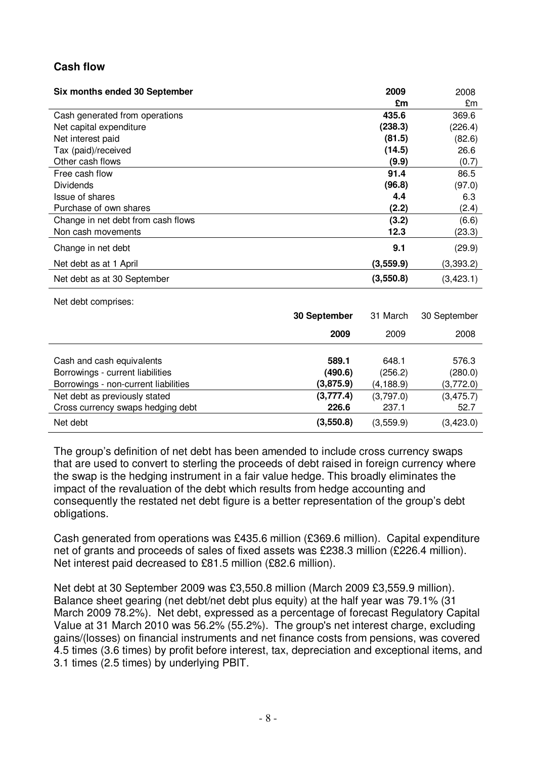# **Cash flow**

| Six months ended 30 September      | 2009      | 2008      |
|------------------------------------|-----------|-----------|
|                                    | £m        | £m        |
| Cash generated from operations     | 435.6     | 369.6     |
| Net capital expenditure            | (238.3)   | (226.4)   |
| Net interest paid                  | (81.5)    | (82.6)    |
| Tax (paid)/received                | (14.5)    | 26.6      |
| Other cash flows                   | (9.9)     | (0.7)     |
| Free cash flow                     | 91.4      | 86.5      |
| <b>Dividends</b>                   | (96.8)    | (97.0)    |
| Issue of shares                    | 4.4       | 6.3       |
| Purchase of own shares             | (2.2)     | (2.4)     |
| Change in net debt from cash flows | (3.2)     | (6.6)     |
| Non cash movements                 | 12.3      | (23.3)    |
| Change in net debt                 | 9.1       | (29.9)    |
| Net debt as at 1 April             | (3,559.9) | (3,393.2) |
| Net debt as at 30 September        | (3,550.8) | (3,423.1) |

Net debt comprises:

|                                                                    | 30 September       | 31 March           | 30 September         |
|--------------------------------------------------------------------|--------------------|--------------------|----------------------|
|                                                                    | 2009               | 2009               | 2008                 |
| Cash and cash equivalents<br>Borrowings - current liabilities      | 589.1<br>(490.6)   | 648.1<br>(256.2)   | 576.3                |
| Borrowings - non-current liabilities                               | (3,875.9)          | (4,188.9)          | (280.0)<br>(3,772.0) |
| Net debt as previously stated<br>Cross currency swaps hedging debt | (3,777.4)<br>226.6 | (3,797.0)<br>237.1 | (3, 475.7)<br>52.7   |
| Net debt                                                           | (3,550.8)          | (3,559.9)          | (3,423.0)            |

The group's definition of net debt has been amended to include cross currency swaps that are used to convert to sterling the proceeds of debt raised in foreign currency where the swap is the hedging instrument in a fair value hedge. This broadly eliminates the impact of the revaluation of the debt which results from hedge accounting and consequently the restated net debt figure is a better representation of the group's debt obligations.

Cash generated from operations was £435.6 million (£369.6 million). Capital expenditure net of grants and proceeds of sales of fixed assets was £238.3 million (£226.4 million). Net interest paid decreased to £81.5 million (£82.6 million).

Net debt at 30 September 2009 was £3,550.8 million (March 2009 £3,559.9 million). Balance sheet gearing (net debt/net debt plus equity) at the half year was 79.1% (31 March 2009 78.2%). Net debt, expressed as a percentage of forecast Regulatory Capital Value at 31 March 2010 was 56.2% (55.2%). The group's net interest charge, excluding gains/(losses) on financial instruments and net finance costs from pensions, was covered 4.5 times (3.6 times) by profit before interest, tax, depreciation and exceptional items, and 3.1 times (2.5 times) by underlying PBIT.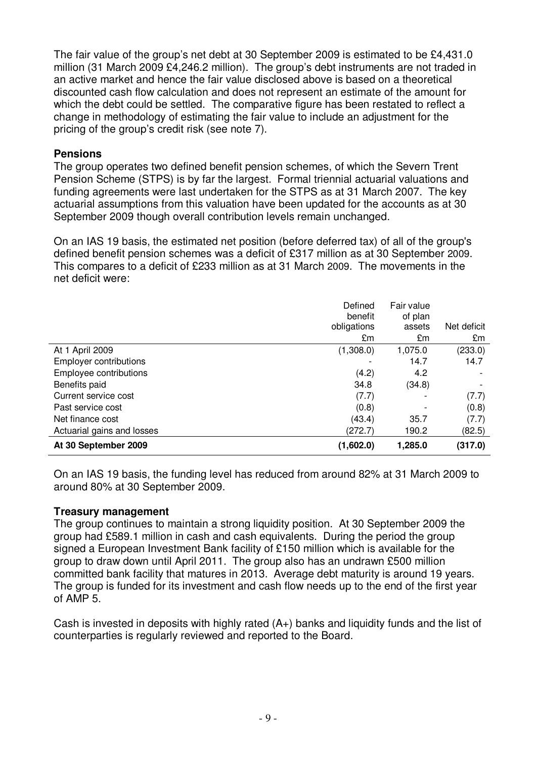The fair value of the group's net debt at 30 September 2009 is estimated to be £4,431.0 million (31 March 2009 £4,246.2 million). The group's debt instruments are not traded in an active market and hence the fair value disclosed above is based on a theoretical discounted cash flow calculation and does not represent an estimate of the amount for which the debt could be settled. The comparative figure has been restated to reflect a change in methodology of estimating the fair value to include an adjustment for the pricing of the group's credit risk (see note 7).

# **Pensions**

The group operates two defined benefit pension schemes, of which the Severn Trent Pension Scheme (STPS) is by far the largest. Formal triennial actuarial valuations and funding agreements were last undertaken for the STPS as at 31 March 2007. The key actuarial assumptions from this valuation have been updated for the accounts as at 30 September 2009 though overall contribution levels remain unchanged.

On an IAS 19 basis, the estimated net position (before deferred tax) of all of the group's defined benefit pension schemes was a deficit of £317 million as at 30 September 2009. This compares to a deficit of £233 million as at 31 March 2009. The movements in the net deficit were:

|                               | Defined<br>benefit<br>obligations | Fair value<br>of plan<br>assets | Net deficit |
|-------------------------------|-----------------------------------|---------------------------------|-------------|
|                               | £m                                | £m                              | £m          |
| At 1 April 2009               | (1,308.0)                         | 1,075.0                         | (233.0)     |
| <b>Employer contributions</b> |                                   | 14.7                            | 14.7        |
| Employee contributions        | (4.2)                             | 4.2                             |             |
| Benefits paid                 | 34.8                              | (34.8)                          |             |
| Current service cost          | (7.7)                             |                                 | (7.7)       |
| Past service cost             | (0.8)                             |                                 | (0.8)       |
| Net finance cost              | (43.4)                            | 35.7                            | (7.7)       |
| Actuarial gains and losses    | (272.7)                           | 190.2                           | (82.5)      |
| At 30 September 2009          | (1,602.0)                         | 1,285.0                         | (317.0)     |

On an IAS 19 basis, the funding level has reduced from around 82% at 31 March 2009 to around 80% at 30 September 2009.

# **Treasury management**

The group continues to maintain a strong liquidity position. At 30 September 2009 the group had £589.1 million in cash and cash equivalents. During the period the group signed a European Investment Bank facility of £150 million which is available for the group to draw down until April 2011. The group also has an undrawn £500 million committed bank facility that matures in 2013. Average debt maturity is around 19 years. The group is funded for its investment and cash flow needs up to the end of the first year of AMP 5.

Cash is invested in deposits with highly rated  $(A<sub>+</sub>)$  banks and liquidity funds and the list of counterparties is regularly reviewed and reported to the Board.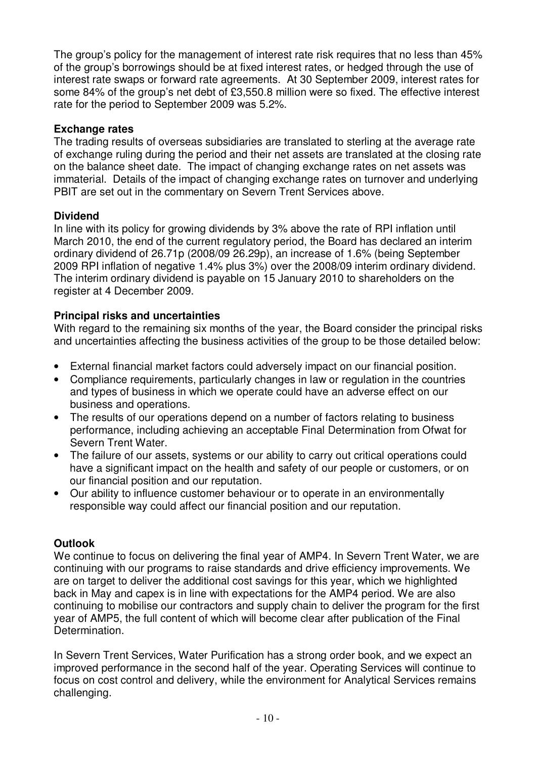The group's policy for the management of interest rate risk requires that no less than 45% of the group's borrowings should be at fixed interest rates, or hedged through the use of interest rate swaps or forward rate agreements. At 30 September 2009, interest rates for some 84% of the group's net debt of £3,550.8 million were so fixed. The effective interest rate for the period to September 2009 was 5.2%.

# **Exchange rates**

The trading results of overseas subsidiaries are translated to sterling at the average rate of exchange ruling during the period and their net assets are translated at the closing rate on the balance sheet date. The impact of changing exchange rates on net assets was immaterial. Details of the impact of changing exchange rates on turnover and underlying PBIT are set out in the commentary on Severn Trent Services above.

# **Dividend**

In line with its policy for growing dividends by 3% above the rate of RPI inflation until March 2010, the end of the current regulatory period, the Board has declared an interim ordinary dividend of 26.71p (2008/09 26.29p), an increase of 1.6% (being September 2009 RPI inflation of negative 1.4% plus 3%) over the 2008/09 interim ordinary dividend. The interim ordinary dividend is payable on 15 January 2010 to shareholders on the register at 4 December 2009.

# **Principal risks and uncertainties**

With regard to the remaining six months of the year, the Board consider the principal risks and uncertainties affecting the business activities of the group to be those detailed below:

- External financial market factors could adversely impact on our financial position.
- Compliance requirements, particularly changes in law or regulation in the countries and types of business in which we operate could have an adverse effect on our business and operations.
- The results of our operations depend on a number of factors relating to business performance, including achieving an acceptable Final Determination from Ofwat for Severn Trent Water.
- The failure of our assets, systems or our ability to carry out critical operations could have a significant impact on the health and safety of our people or customers, or on our financial position and our reputation.
- Our ability to influence customer behaviour or to operate in an environmentally responsible way could affect our financial position and our reputation.

# **Outlook**

We continue to focus on delivering the final year of AMP4. In Severn Trent Water, we are continuing with our programs to raise standards and drive efficiency improvements. We are on target to deliver the additional cost savings for this year, which we highlighted back in May and capex is in line with expectations for the AMP4 period. We are also continuing to mobilise our contractors and supply chain to deliver the program for the first year of AMP5, the full content of which will become clear after publication of the Final Determination.

In Severn Trent Services, Water Purification has a strong order book, and we expect an improved performance in the second half of the year. Operating Services will continue to focus on cost control and delivery, while the environment for Analytical Services remains challenging.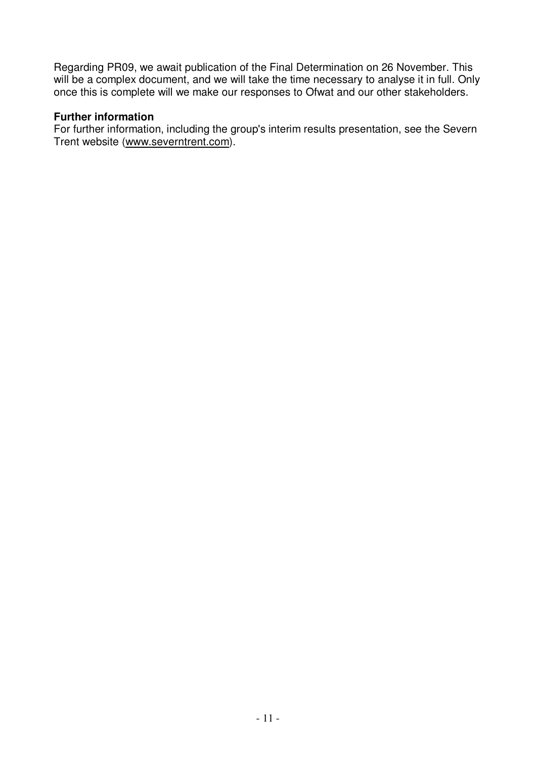Regarding PR09, we await publication of the Final Determination on 26 November. This will be a complex document, and we will take the time necessary to analyse it in full. Only once this is complete will we make our responses to Ofwat and our other stakeholders.

### **Further information**

For further information, including the group's interim results presentation, see the Severn Trent website (www.severntrent.com).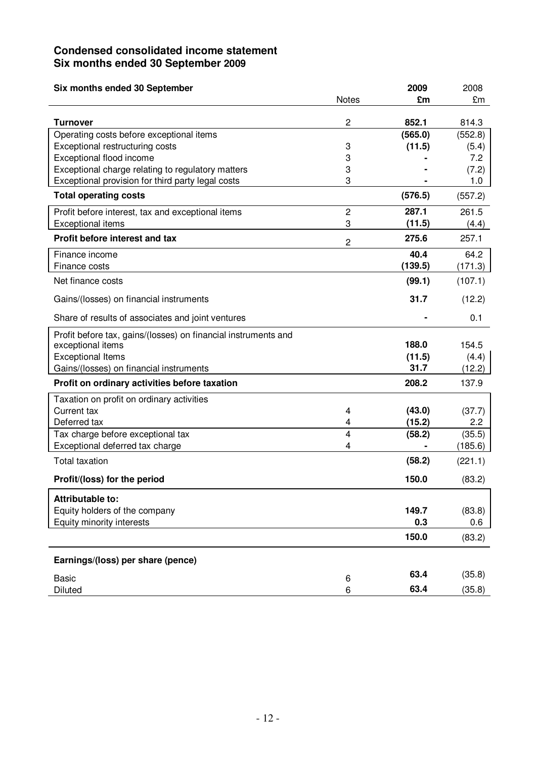# **Condensed consolidated income statement Six months ended 30 September 2009**

| Six months ended 30 September                                        |                     | 2009             | 2008          |
|----------------------------------------------------------------------|---------------------|------------------|---------------|
|                                                                      | <b>Notes</b>        | £m               | £m            |
| <b>Turnover</b>                                                      | $\overline{2}$      | 852.1            | 814.3         |
| Operating costs before exceptional items                             |                     | (565.0)          | (552.8)       |
| Exceptional restructuring costs                                      | 3                   | (11.5)           | (5.4)         |
| Exceptional flood income                                             | 3                   |                  | 7.2           |
| Exceptional charge relating to regulatory matters                    | 3                   |                  | (7.2)         |
| Exceptional provision for third party legal costs                    | 3                   |                  | 1.0           |
| <b>Total operating costs</b>                                         |                     | (576.5)          | (557.2)       |
| Profit before interest, tax and exceptional items                    | $\overline{c}$      | 287.1            | 261.5         |
| <b>Exceptional items</b>                                             | 3                   | (11.5)           | (4.4)         |
| Profit before interest and tax                                       | $\overline{c}$      | 275.6            | 257.1         |
| Finance income                                                       |                     | 40.4             | 64.2          |
| Finance costs                                                        |                     | (139.5)          | (171.3)       |
| Net finance costs                                                    |                     | (99.1)           | (107.1)       |
| Gains/(losses) on financial instruments                              |                     | 31.7             | (12.2)        |
| Share of results of associates and joint ventures                    |                     |                  | 0.1           |
| Profit before tax, gains/(losses) on financial instruments and       |                     |                  |               |
| exceptional items                                                    |                     | 188.0            | 154.5         |
| <b>Exceptional Items</b>                                             |                     | (11.5)<br>31.7   | (4.4)         |
| Gains/(losses) on financial instruments                              |                     |                  | (12.2)        |
| Profit on ordinary activities before taxation                        |                     | 208.2            | 137.9         |
| Taxation on profit on ordinary activities                            |                     |                  |               |
| Current tax                                                          | 4                   | (43.0)           | (37.7)        |
| Deferred tax                                                         | 4<br>$\overline{4}$ | (15.2)<br>(58.2) | 2.2<br>(35.5) |
| Tax charge before exceptional tax<br>Exceptional deferred tax charge | 4                   |                  | (185.6)       |
| <b>Total taxation</b>                                                |                     | (58.2)           | (221.1)       |
|                                                                      |                     |                  |               |
| Profit/(loss) for the period                                         |                     | 150.0            | (83.2)        |
| Attributable to:                                                     |                     |                  |               |
| Equity holders of the company                                        |                     | 149.7            | (83.8)        |
| Equity minority interests                                            |                     | 0.3              | 0.6           |
|                                                                      |                     | 150.0            | (83.2)        |
| Earnings/(loss) per share (pence)                                    |                     |                  |               |
| <b>Basic</b>                                                         | 6                   | 63.4             | (35.8)        |
| Diluted                                                              | 6                   | 63.4             | (35.8)        |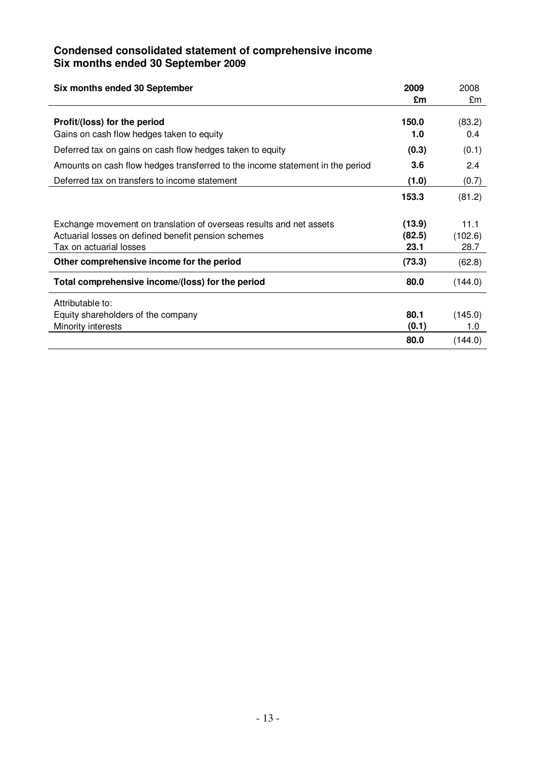### **Condensed consolidated statement of comprehensive income Six months ended 30 September 2009**

| Six months ended 30 September                                                                                                                         | 2009                     | 2008                    |
|-------------------------------------------------------------------------------------------------------------------------------------------------------|--------------------------|-------------------------|
|                                                                                                                                                       | £m                       | £m                      |
| Profit/(loss) for the period                                                                                                                          | 150.0                    | (83.2)                  |
| Gains on cash flow hedges taken to equity                                                                                                             | 1.0                      | 0.4                     |
| Deferred tax on gains on cash flow hedges taken to equity                                                                                             | (0.3)                    | (0.1)                   |
| Amounts on cash flow hedges transferred to the income statement in the period                                                                         | 3.6                      | 2.4                     |
| Deferred tax on transfers to income statement                                                                                                         | (1.0)                    | (0.7)                   |
|                                                                                                                                                       | 153.3                    | (81.2)                  |
| Exchange movement on translation of overseas results and net assets<br>Actuarial losses on defined benefit pension schemes<br>Tax on actuarial losses | (13.9)<br>(82.5)<br>23.1 | 11.1<br>(102.6)<br>28.7 |
| Other comprehensive income for the period                                                                                                             | (73.3)                   | (62.8)                  |
| Total comprehensive income/(loss) for the period                                                                                                      | 80.0                     | (144.0)                 |
| Attributable to:                                                                                                                                      |                          |                         |
| Equity shareholders of the company                                                                                                                    | 80.1                     | (145.0)                 |
| Minority interests                                                                                                                                    | (0.1)                    | 1.0                     |
|                                                                                                                                                       | 80.0                     | (144.0)                 |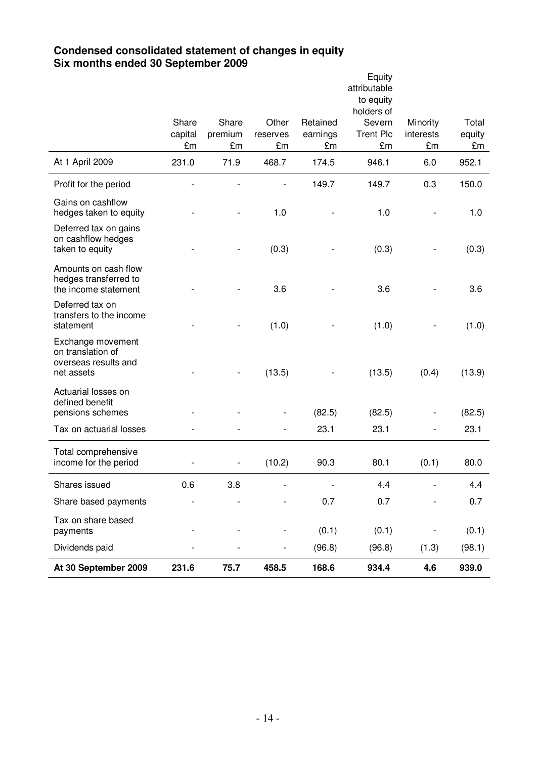### **Condensed consolidated statement of changes in equity Six months ended 30 September 2009**

|                                                                              |               |               |                |                | Equity<br>attributable  |                          |              |
|------------------------------------------------------------------------------|---------------|---------------|----------------|----------------|-------------------------|--------------------------|--------------|
|                                                                              |               |               |                |                | to equity<br>holders of |                          |              |
|                                                                              | Share         | Share         | Other          | Retained       | Severn                  | Minority                 | Total        |
|                                                                              | capital<br>£m | premium<br>£m | reserves<br>£m | earnings<br>£m | <b>Trent Plc</b><br>£m  | interests<br>£m          | equity<br>£m |
| At 1 April 2009                                                              | 231.0         | 71.9          | 468.7          | 174.5          | 946.1                   | 6.0                      | 952.1        |
|                                                                              |               |               |                |                |                         |                          |              |
| Profit for the period                                                        |               |               |                | 149.7          | 149.7                   | 0.3                      | 150.0        |
| Gains on cashflow<br>hedges taken to equity                                  |               |               | 1.0            |                | 1.0                     |                          | 1.0          |
| Deferred tax on gains<br>on cashflow hedges<br>taken to equity               |               |               | (0.3)          |                | (0.3)                   |                          | (0.3)        |
| Amounts on cash flow<br>hedges transferred to<br>the income statement        |               |               | 3.6            |                | 3.6                     |                          | 3.6          |
| Deferred tax on<br>transfers to the income<br>statement                      |               |               | (1.0)          |                | (1.0)                   |                          | (1.0)        |
| Exchange movement<br>on translation of<br>overseas results and<br>net assets |               |               | (13.5)         |                | (13.5)                  | (0.4)                    | (13.9)       |
| Actuarial losses on<br>defined benefit<br>pensions schemes                   |               |               |                | (82.5)         | (82.5)                  |                          | (82.5)       |
| Tax on actuarial losses                                                      |               |               |                | 23.1           | 23.1                    | $\overline{\phantom{a}}$ | 23.1         |
| Total comprehensive                                                          |               |               |                |                |                         |                          |              |
| income for the period                                                        |               |               | (10.2)         | 90.3           | 80.1                    | (0.1)                    | 80.0         |
| Shares issued                                                                | 0.6           | 3.8           |                |                | 4.4                     |                          | 4.4          |
| Share based payments                                                         |               |               |                | 0.7            | 0.7                     |                          | 0.7          |
| Tax on share based<br>payments                                               |               |               |                | (0.1)          | (0.1)                   |                          | (0.1)        |
| Dividends paid                                                               |               |               |                | (96.8)         | (96.8)                  | (1.3)                    | (98.1)       |
| At 30 September 2009                                                         | 231.6         | 75.7          | 458.5          | 168.6          | 934.4                   | 4.6                      | 939.0        |
|                                                                              |               |               |                |                |                         |                          |              |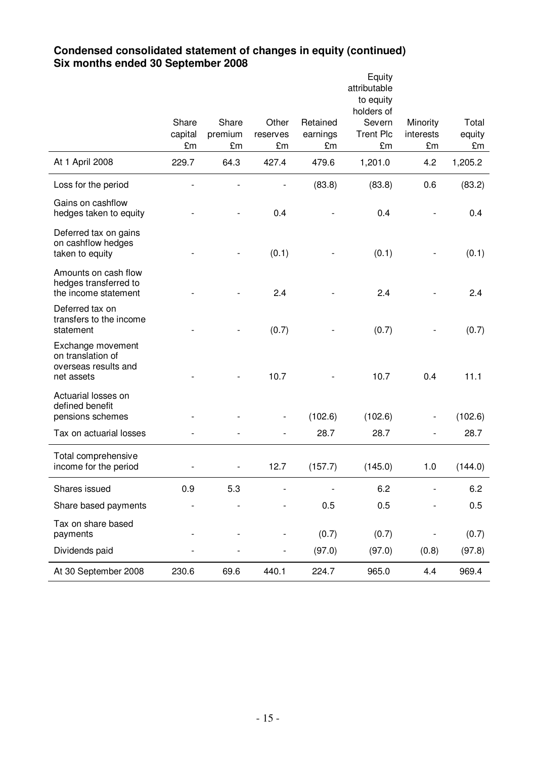### **Condensed consolidated statement of changes in equity (continued) Six months ended 30 September 2008**

|                                                                              |                        |                        |                         |                            | Equity<br>attributable<br>to equity            |                             |                       |
|------------------------------------------------------------------------------|------------------------|------------------------|-------------------------|----------------------------|------------------------------------------------|-----------------------------|-----------------------|
|                                                                              | Share<br>capital<br>£m | Share<br>premium<br>£m | Other<br>reserves<br>£m | Retained<br>earnings<br>£m | holders of<br>Severn<br><b>Trent Plc</b><br>£m | Minority<br>interests<br>£m | Total<br>equity<br>£m |
| At 1 April 2008                                                              | 229.7                  | 64.3                   | 427.4                   | 479.6                      | 1,201.0                                        | 4.2                         | 1,205.2               |
| Loss for the period                                                          |                        |                        |                         | (83.8)                     | (83.8)                                         | 0.6                         | (83.2)                |
| Gains on cashflow<br>hedges taken to equity                                  |                        |                        | 0.4                     |                            | 0.4                                            |                             | 0.4                   |
| Deferred tax on gains<br>on cashflow hedges<br>taken to equity               |                        |                        | (0.1)                   |                            | (0.1)                                          |                             | (0.1)                 |
| Amounts on cash flow<br>hedges transferred to<br>the income statement        |                        |                        | 2.4                     |                            | 2.4                                            |                             | 2.4                   |
| Deferred tax on<br>transfers to the income<br>statement                      |                        |                        | (0.7)                   |                            | (0.7)                                          |                             | (0.7)                 |
| Exchange movement<br>on translation of<br>overseas results and<br>net assets |                        |                        | 10.7                    |                            | 10.7                                           | 0.4                         | 11.1                  |
| Actuarial losses on<br>defined benefit<br>pensions schemes                   |                        |                        |                         | (102.6)                    | (102.6)                                        |                             | (102.6)               |
| Tax on actuarial losses                                                      |                        |                        |                         | 28.7                       | 28.7                                           | $\overline{\phantom{0}}$    | 28.7                  |
| Total comprehensive<br>income for the period                                 |                        |                        | 12.7                    | (157.7)                    | (145.0)                                        | 1.0                         | (144.0)               |
| Shares issued                                                                | 0.9                    | 5.3                    |                         |                            | 6.2                                            |                             | 6.2                   |
| Share based payments                                                         |                        |                        |                         | 0.5                        | 0.5                                            |                             | 0.5                   |
| Tax on share based<br>payments                                               |                        |                        |                         | (0.7)                      | (0.7)                                          |                             | (0.7)                 |
| Dividends paid                                                               |                        |                        |                         | (97.0)                     | (97.0)                                         | (0.8)                       | (97.8)                |
| At 30 September 2008                                                         | 230.6                  | 69.6                   | 440.1                   | 224.7                      | 965.0                                          | 4.4                         | 969.4                 |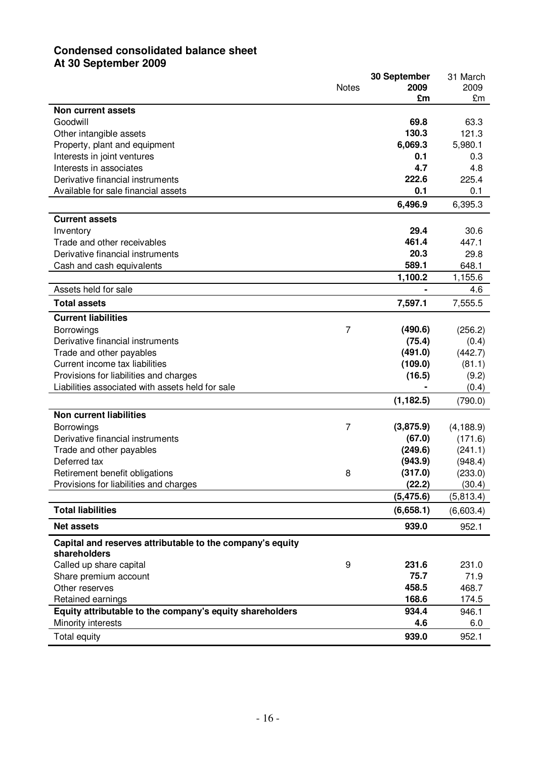# **Condensed consolidated balance sheet At 30 September 2009**

|                                                           |                | 30 September | 31 March   |
|-----------------------------------------------------------|----------------|--------------|------------|
|                                                           | <b>Notes</b>   | 2009         | 2009       |
|                                                           |                | £m           | £m         |
| Non current assets                                        |                |              |            |
| Goodwill                                                  |                | 69.8         | 63.3       |
| Other intangible assets                                   |                | 130.3        | 121.3      |
| Property, plant and equipment                             |                | 6,069.3      | 5,980.1    |
| Interests in joint ventures                               |                | 0.1          | 0.3        |
| Interests in associates                                   |                | 4.7          | 4.8        |
| Derivative financial instruments                          |                | 222.6        | 225.4      |
| Available for sale financial assets                       |                | 0.1          | 0.1        |
|                                                           |                | 6,496.9      | 6,395.3    |
| <b>Current assets</b>                                     |                |              |            |
| Inventory                                                 |                | 29.4         | 30.6       |
| Trade and other receivables                               |                | 461.4        | 447.1      |
| Derivative financial instruments                          |                | 20.3         | 29.8       |
| Cash and cash equivalents                                 |                | 589.1        | 648.1      |
|                                                           |                | 1,100.2      | 1,155.6    |
| Assets held for sale                                      |                |              | 4.6        |
| <b>Total assets</b>                                       |                | 7,597.1      | 7,555.5    |
| <b>Current liabilities</b>                                |                |              |            |
| Borrowings                                                | $\overline{7}$ | (490.6)      | (256.2)    |
| Derivative financial instruments                          |                | (75.4)       | (0.4)      |
| Trade and other payables                                  |                | (491.0)      | (442.7)    |
| Current income tax liabilities                            |                | (109.0)      | (81.1)     |
| Provisions for liabilities and charges                    |                | (16.5)       | (9.2)      |
| Liabilities associated with assets held for sale          |                |              | (0.4)      |
|                                                           |                | (1, 182.5)   | (790.0)    |
| <b>Non current liabilities</b>                            |                |              |            |
| Borrowings                                                | 7              | (3,875.9)    | (4, 188.9) |
| Derivative financial instruments                          |                | (67.0)       | (171.6)    |
| Trade and other payables                                  |                | (249.6)      | (241.1)    |
| Deferred tax                                              |                | (943.9)      | (948.4)    |
| Retirement benefit obligations                            | 8              | (317.0)      | (233.0)    |
| Provisions for liabilities and charges                    |                | (22.2)       | (30.4)     |
|                                                           |                | (5, 475.6)   | (5,813.4)  |
| <b>Total liabilities</b>                                  |                | (6,658.1)    | (6,603.4)  |
| <b>Net assets</b>                                         |                | 939.0        | 952.1      |
| Capital and reserves attributable to the company's equity |                |              |            |
| shareholders                                              |                |              |            |
| Called up share capital                                   | 9              | 231.6        | 231.0      |
| Share premium account                                     |                | 75.7         | 71.9       |
| Other reserves                                            |                | 458.5        | 468.7      |
| Retained earnings                                         |                | 168.6        | 174.5      |
| Equity attributable to the company's equity shareholders  |                | 934.4        | 946.1      |
| Minority interests                                        |                | 4.6          | 6.0        |
| Total equity                                              |                | 939.0        | 952.1      |
|                                                           |                |              |            |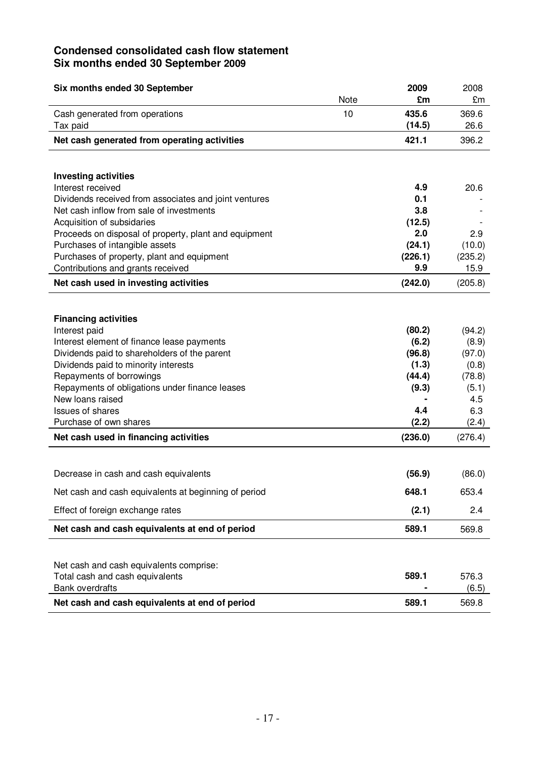# **Condensed consolidated cash flow statement Six months ended 30 September 2009**

| Six months ended 30 September                                              |      | 2009            | 2008          |
|----------------------------------------------------------------------------|------|-----------------|---------------|
|                                                                            | Note | £m              | £m            |
| Cash generated from operations<br>Tax paid                                 | 10   | 435.6<br>(14.5) | 369.6<br>26.6 |
| Net cash generated from operating activities                               |      | 421.1           | 396.2         |
|                                                                            |      |                 |               |
|                                                                            |      |                 |               |
| <b>Investing activities</b>                                                |      |                 |               |
| Interest received<br>Dividends received from associates and joint ventures |      | 4.9<br>0.1      | 20.6          |
| Net cash inflow from sale of investments                                   |      | 3.8             |               |
| Acquisition of subsidaries                                                 |      | (12.5)          |               |
| Proceeds on disposal of property, plant and equipment                      |      | 2.0             | 2.9           |
| Purchases of intangible assets                                             |      | (24.1)          | (10.0)        |
| Purchases of property, plant and equipment                                 |      | (226.1)         | (235.2)       |
| Contributions and grants received                                          |      | 9.9             | 15.9          |
| Net cash used in investing activities                                      |      | (242.0)         | (205.8)       |
|                                                                            |      |                 |               |
| <b>Financing activities</b>                                                |      |                 |               |
| Interest paid                                                              |      | (80.2)          | (94.2)        |
| Interest element of finance lease payments                                 |      | (6.2)           | (8.9)         |
| Dividends paid to shareholders of the parent                               |      | (96.8)          | (97.0)        |
| Dividends paid to minority interests                                       |      | (1.3)           | (0.8)         |
| Repayments of borrowings                                                   |      | (44.4)          | (78.8)        |
| Repayments of obligations under finance leases<br>New loans raised         |      | (9.3)           | (5.1)<br>4.5  |
| <b>Issues of shares</b>                                                    |      | 4.4             | 6.3           |
| Purchase of own shares                                                     |      | (2.2)           | (2.4)         |
| Net cash used in financing activities                                      |      | (236.0)         | (276.4)       |
|                                                                            |      |                 |               |
|                                                                            |      |                 |               |
| Decrease in cash and cash equivalents                                      |      | (56.9)          | (86.0)        |
| Net cash and cash equivalents at beginning of period                       |      | 648.1           | 653.4         |
| Effect of foreign exchange rates                                           |      | (2.1)           | 2.4           |
| Net cash and cash equivalents at end of period                             |      | 589.1           | 569.8         |
|                                                                            |      |                 |               |
| Net cash and cash equivalents comprise:                                    |      |                 |               |
| Total cash and cash equivalents                                            |      | 589.1           | 576.3         |
| <b>Bank overdrafts</b>                                                     |      |                 | (6.5)         |
| Net cash and cash equivalents at end of period                             |      | 589.1           | 569.8         |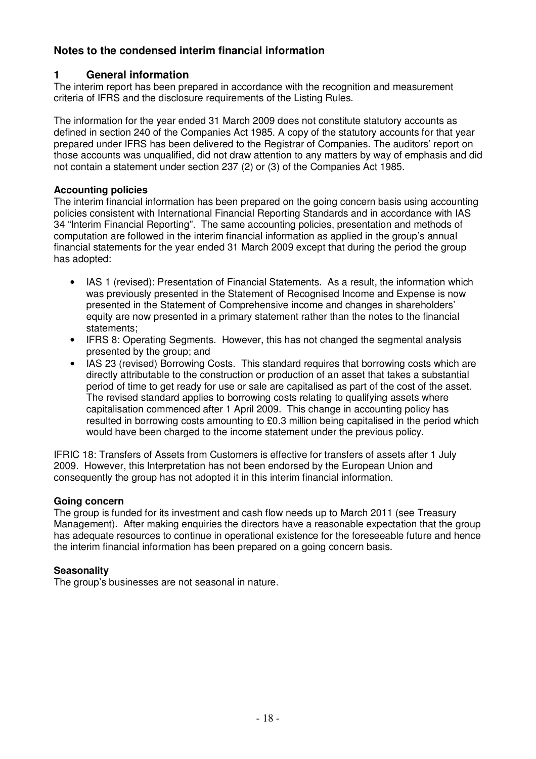# **Notes to the condensed interim financial information**

# **1 General information**

The interim report has been prepared in accordance with the recognition and measurement criteria of IFRS and the disclosure requirements of the Listing Rules.

The information for the year ended 31 March 2009 does not constitute statutory accounts as defined in section 240 of the Companies Act 1985. A copy of the statutory accounts for that year prepared under IFRS has been delivered to the Registrar of Companies. The auditors' report on those accounts was unqualified, did not draw attention to any matters by way of emphasis and did not contain a statement under section 237 (2) or (3) of the Companies Act 1985.

### **Accounting policies**

The interim financial information has been prepared on the going concern basis using accounting policies consistent with International Financial Reporting Standards and in accordance with IAS 34 "Interim Financial Reporting". The same accounting policies, presentation and methods of computation are followed in the interim financial information as applied in the group's annual financial statements for the year ended 31 March 2009 except that during the period the group has adopted:

- IAS 1 (revised): Presentation of Financial Statements. As a result, the information which was previously presented in the Statement of Recognised Income and Expense is now presented in the Statement of Comprehensive income and changes in shareholders' equity are now presented in a primary statement rather than the notes to the financial statements;
- IFRS 8: Operating Segments. However, this has not changed the segmental analysis presented by the group; and
- IAS 23 (revised) Borrowing Costs. This standard requires that borrowing costs which are directly attributable to the construction or production of an asset that takes a substantial period of time to get ready for use or sale are capitalised as part of the cost of the asset. The revised standard applies to borrowing costs relating to qualifying assets where capitalisation commenced after 1 April 2009. This change in accounting policy has resulted in borrowing costs amounting to £0.3 million being capitalised in the period which would have been charged to the income statement under the previous policy.

IFRIC 18: Transfers of Assets from Customers is effective for transfers of assets after 1 July 2009. However, this Interpretation has not been endorsed by the European Union and consequently the group has not adopted it in this interim financial information.

# **Going concern**

The group is funded for its investment and cash flow needs up to March 2011 (see Treasury Management). After making enquiries the directors have a reasonable expectation that the group has adequate resources to continue in operational existence for the foreseeable future and hence the interim financial information has been prepared on a going concern basis.

# **Seasonality**

The group's businesses are not seasonal in nature.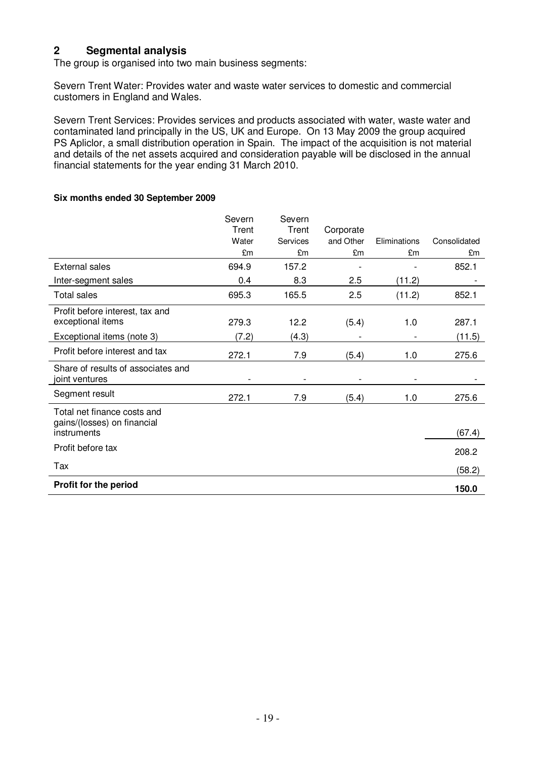### **2 Segmental analysis**

The group is organised into two main business segments:

Severn Trent Water: Provides water and waste water services to domestic and commercial customers in England and Wales.

Severn Trent Services: Provides services and products associated with water, waste water and contaminated land principally in the US, UK and Europe. On 13 May 2009 the group acquired PS Apliclor, a small distribution operation in Spain. The impact of the acquisition is not material and details of the net assets acquired and consideration payable will be disclosed in the annual financial statements for the year ending 31 March 2010.

#### **Six months ended 30 September 2009**

|                                                            | Severn | Severn   |           |              |              |
|------------------------------------------------------------|--------|----------|-----------|--------------|--------------|
|                                                            | Trent  | Trent    | Corporate |              |              |
|                                                            | Water  | Services | and Other | Eliminations | Consolidated |
|                                                            | £m     | £m       | £m        | £m           | £m           |
| <b>External sales</b>                                      | 694.9  | 157.2    |           |              | 852.1        |
| Inter-segment sales                                        | 0.4    | 8.3      | 2.5       | (11.2)       |              |
| <b>Total sales</b>                                         | 695.3  | 165.5    | 2.5       | (11.2)       | 852.1        |
| Profit before interest, tax and<br>exceptional items       | 279.3  | 12.2     | (5.4)     | 1.0          | 287.1        |
| Exceptional items (note 3)                                 | (7.2)  | (4.3)    |           |              | (11.5)       |
| Profit before interest and tax                             | 272.1  | 7.9      | (5.4)     | 1.0          | 275.6        |
| Share of results of associates and<br>joint ventures       |        |          |           |              |              |
| Segment result                                             | 272.1  | 7.9      | (5.4)     | 1.0          | 275.6        |
| Total net finance costs and<br>gains/(losses) on financial |        |          |           |              |              |
| instruments                                                |        |          |           |              | (67.4)       |
| Profit before tax                                          |        |          |           |              | 208.2        |
| Tax                                                        |        |          |           |              | (58.2)       |
| <b>Profit for the period</b>                               |        |          |           |              | 150.0        |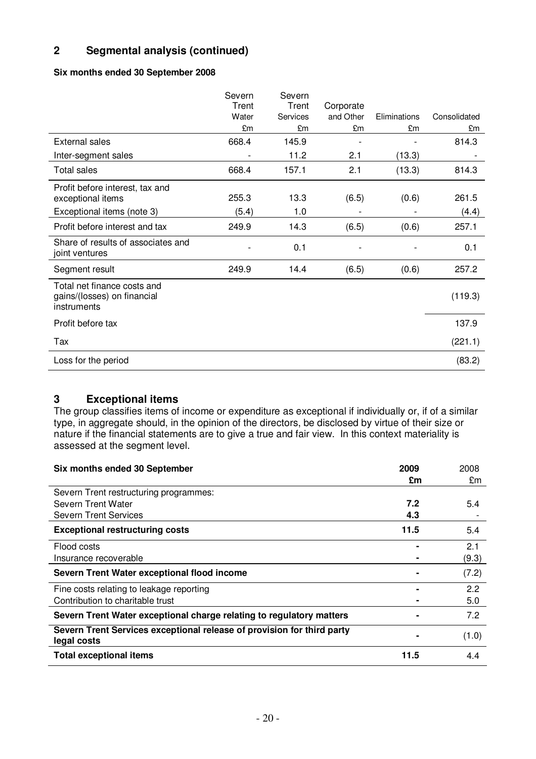# **2 Segmental analysis (continued)**

### **Six months ended 30 September 2008**

|                                                                           | Severn<br>Trent | Severn<br>Trent | Corporate |              |              |
|---------------------------------------------------------------------------|-----------------|-----------------|-----------|--------------|--------------|
|                                                                           | Water           | <b>Services</b> | and Other | Eliminations | Consolidated |
|                                                                           | £m              | £m              | £m        | £m           | £m           |
| <b>External sales</b>                                                     | 668.4           | 145.9           |           |              | 814.3        |
| Inter-segment sales                                                       |                 | 11.2            | 2.1       | (13.3)       |              |
| <b>Total sales</b>                                                        | 668.4           | 157.1           | 2.1       | (13.3)       | 814.3        |
| Profit before interest, tax and<br>exceptional items                      | 255.3           | 13.3            | (6.5)     | (0.6)        | 261.5        |
| Exceptional items (note 3)                                                | (5.4)           | 1.0             |           |              | (4.4)        |
| Profit before interest and tax                                            | 249.9           | 14.3            | (6.5)     | (0.6)        | 257.1        |
| Share of results of associates and<br>joint ventures                      |                 | 0.1             |           |              | 0.1          |
| Segment result                                                            | 249.9           | 14.4            | (6.5)     | (0.6)        | 257.2        |
| Total net finance costs and<br>gains/(losses) on financial<br>instruments |                 |                 |           |              | (119.3)      |
| Profit before tax                                                         |                 |                 |           |              | 137.9        |
| Tax                                                                       |                 |                 |           |              | (221.1)      |
| Loss for the period                                                       |                 |                 |           |              | (83.2)       |

### **3 Exceptional items**

The group classifies items of income or expenditure as exceptional if individually or, if of a similar type, in aggregate should, in the opinion of the directors, be disclosed by virtue of their size or nature if the financial statements are to give a true and fair view. In this context materiality is assessed at the segment level.

| Six months ended 30 September                                                         | 2009 | 2008  |
|---------------------------------------------------------------------------------------|------|-------|
|                                                                                       | £m   | £m    |
| Severn Trent restructuring programmes:                                                |      |       |
| Severn Trent Water                                                                    | 7.2  | 5.4   |
| Severn Trent Services                                                                 | 4.3  |       |
| <b>Exceptional restructuring costs</b>                                                | 11.5 | 5.4   |
| Flood costs                                                                           |      | 2.1   |
| Insurance recoverable                                                                 |      | (9.3) |
| Severn Trent Water exceptional flood income                                           |      | (7.2) |
| Fine costs relating to leakage reporting                                              |      | 2.2   |
| Contribution to charitable trust                                                      |      | 5.0   |
| Severn Trent Water exceptional charge relating to regulatory matters                  |      | 7.2   |
| Severn Trent Services exceptional release of provision for third party<br>legal costs |      | (1.0) |
| <b>Total exceptional items</b>                                                        | 11.5 | 4.4   |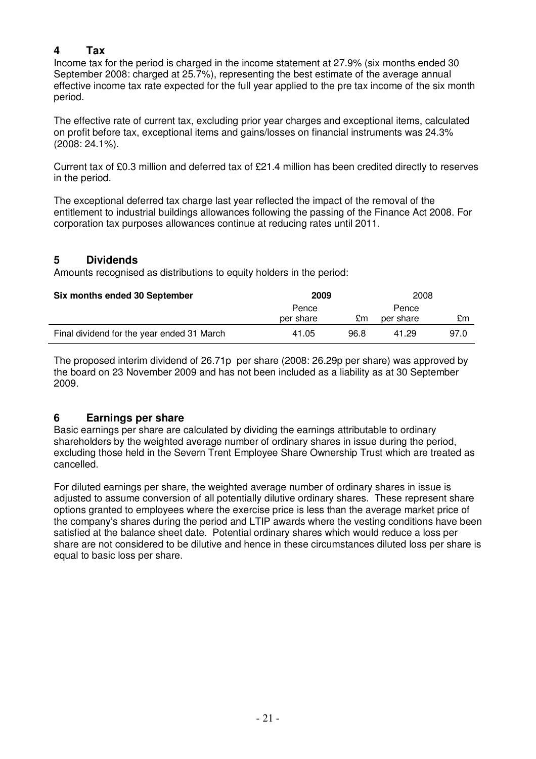### **4 Tax**

Income tax for the period is charged in the income statement at 27.9% (six months ended 30 September 2008: charged at 25.7%), representing the best estimate of the average annual effective income tax rate expected for the full year applied to the pre tax income of the six month period.

The effective rate of current tax, excluding prior year charges and exceptional items, calculated on profit before tax, exceptional items and gains/losses on financial instruments was 24.3% (2008: 24.1%).

Current tax of £0.3 million and deferred tax of £21.4 million has been credited directly to reserves in the period.

The exceptional deferred tax charge last year reflected the impact of the removal of the entitlement to industrial buildings allowances following the passing of the Finance Act 2008. For corporation tax purposes allowances continue at reducing rates until 2011.

### **5 Dividends**

Amounts recognised as distributions to equity holders in the period:

| Six months ended 30 September              | 2009      |      | 2008      |      |
|--------------------------------------------|-----------|------|-----------|------|
|                                            | Pence     |      | Pence     |      |
|                                            | per share | £m   | per share | £m   |
| Final dividend for the year ended 31 March | 41.05     | 96.8 | 41.29     | 97.0 |

The proposed interim dividend of 26.71p per share (2008: 26.29p per share) was approved by the board on 23 November 2009 and has not been included as a liability as at 30 September 2009.

# **6 Earnings per share**

Basic earnings per share are calculated by dividing the earnings attributable to ordinary shareholders by the weighted average number of ordinary shares in issue during the period, excluding those held in the Severn Trent Employee Share Ownership Trust which are treated as cancelled.

For diluted earnings per share, the weighted average number of ordinary shares in issue is adjusted to assume conversion of all potentially dilutive ordinary shares. These represent share options granted to employees where the exercise price is less than the average market price of the company's shares during the period and LTIP awards where the vesting conditions have been satisfied at the balance sheet date. Potential ordinary shares which would reduce a loss per share are not considered to be dilutive and hence in these circumstances diluted loss per share is equal to basic loss per share.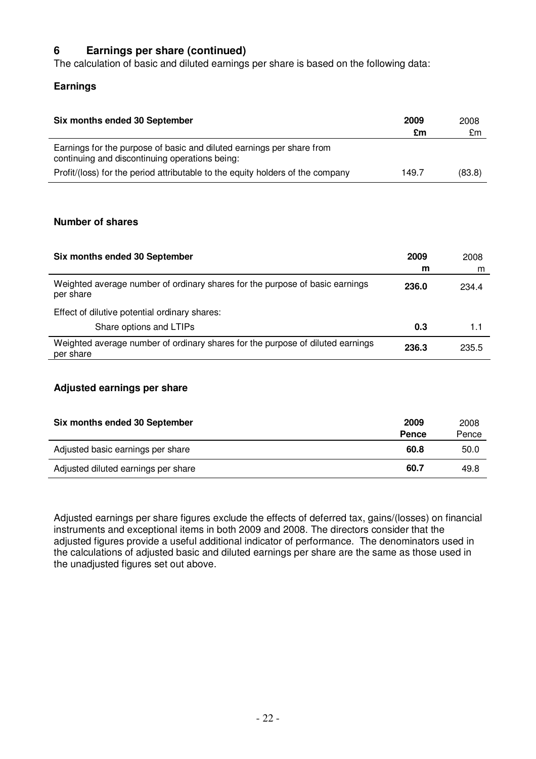# **6 Earnings per share (continued)**

The calculation of basic and diluted earnings per share is based on the following data:

### **Earnings**

| Six months ended 30 September                                                                                           | 2009<br>£m | 2008<br>£m |
|-------------------------------------------------------------------------------------------------------------------------|------------|------------|
| Earnings for the purpose of basic and diluted earnings per share from<br>continuing and discontinuing operations being: |            |            |
| Profit/(loss) for the period attributable to the equity holders of the company                                          | 149.7      | (83.8)     |

### **Number of shares**

| Six months ended 30 September                                                               | 2009<br>m | 2008<br>m |
|---------------------------------------------------------------------------------------------|-----------|-----------|
| Weighted average number of ordinary shares for the purpose of basic earnings<br>per share   | 236.0     | 234.4     |
| Effect of dilutive potential ordinary shares:                                               |           |           |
| Share options and LTIPs                                                                     | 0.3       | 1.1       |
| Weighted average number of ordinary shares for the purpose of diluted earnings<br>per share | 236.3     | 235.5     |

### **Adjusted earnings per share**

| Six months ended 30 September       | 2009<br><b>Pence</b> | 2008<br>Pence |
|-------------------------------------|----------------------|---------------|
| Adjusted basic earnings per share   | 60.8                 | 50.0          |
| Adjusted diluted earnings per share | 60.7                 | 49.8          |

Adjusted earnings per share figures exclude the effects of deferred tax, gains/(losses) on financial instruments and exceptional items in both 2009 and 2008. The directors consider that the adjusted figures provide a useful additional indicator of performance. The denominators used in the calculations of adjusted basic and diluted earnings per share are the same as those used in the unadjusted figures set out above.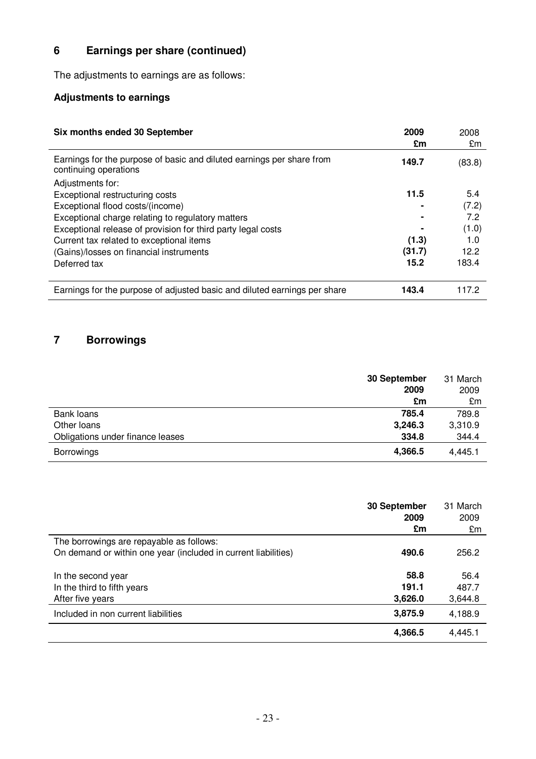# **6 Earnings per share (continued)**

The adjustments to earnings are as follows:

# **Adjustments to earnings**

| Six months ended 30 September                                                                  | 2009<br>£m | 2008<br>£m  |
|------------------------------------------------------------------------------------------------|------------|-------------|
| Earnings for the purpose of basic and diluted earnings per share from<br>continuing operations | 149.7      | (83.8)      |
| Adjustments for:                                                                               |            |             |
| Exceptional restructuring costs                                                                | 11.5       | 5.4         |
| Exceptional flood costs/(income)                                                               |            | (7.2)       |
| Exceptional charge relating to regulatory matters                                              |            | 7.2         |
| Exceptional release of provision for third party legal costs                                   |            | (1.0)       |
| Current tax related to exceptional items                                                       | (1.3)      | 1. $\Omega$ |
| (Gains)/losses on financial instruments                                                        | (31.7)     | 12.2        |
| Deferred tax                                                                                   | 15.2       | 183.4       |
| Earnings for the purpose of adjusted basic and diluted earnings per share                      | 143.4      | 117 2       |

# **7 Borrowings**

|                                  | 30 September | 31 March |
|----------------------------------|--------------|----------|
|                                  | 2009         | 2009     |
|                                  | £m           | £m       |
| Bank loans                       | 785.4        | 789.8    |
| Other loans                      | 3,246.3      | 3,310.9  |
| Obligations under finance leases | 334.8        | 344.4    |
| <b>Borrowings</b>                | 4,366.5      | 4,445.1  |

|                                                                | 30 September<br>2009 | 31 March<br>2009 |
|----------------------------------------------------------------|----------------------|------------------|
|                                                                | £m                   | £m               |
| The borrowings are repayable as follows:                       |                      |                  |
| On demand or within one year (included in current liabilities) | 490.6                | 256.2            |
| In the second year                                             | 58.8                 | 56.4             |
| In the third to fifth years                                    | 191.1                | 487.7            |
| After five years                                               | 3,626.0              | 3,644.8          |
| Included in non current liabilities                            | 3,875.9              | 4,188.9          |
|                                                                | 4,366.5              | 4,445.1          |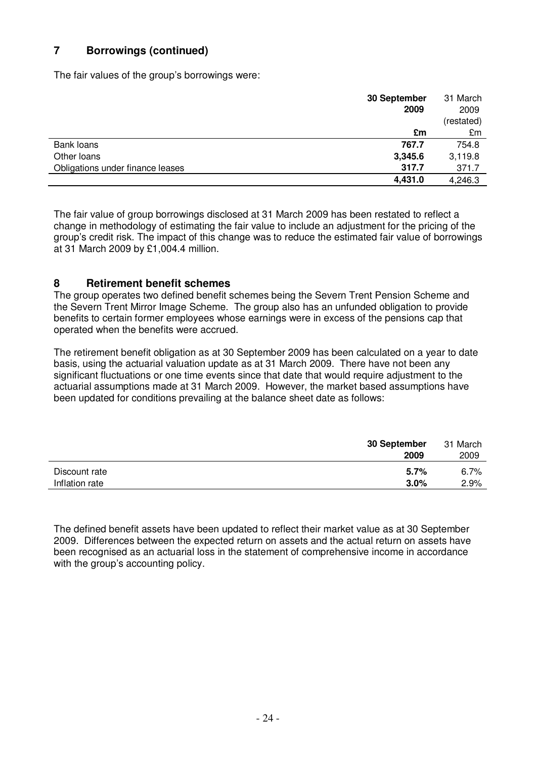# **7 Borrowings (continued)**

The fair values of the group's borrowings were:

|                                  | 30 September | 31 March   |
|----------------------------------|--------------|------------|
|                                  | 2009         | 2009       |
|                                  |              | (restated) |
|                                  | £m           | £m         |
| Bank loans                       | 767.7        | 754.8      |
| Other loans                      | 3,345.6      | 3,119.8    |
| Obligations under finance leases | 317.7        | 371.7      |
|                                  | 4,431.0      | 4,246.3    |

The fair value of group borrowings disclosed at 31 March 2009 has been restated to reflect a change in methodology of estimating the fair value to include an adjustment for the pricing of the group's credit risk. The impact of this change was to reduce the estimated fair value of borrowings at 31 March 2009 by £1,004.4 million.

### **8 Retirement benefit schemes**

The group operates two defined benefit schemes being the Severn Trent Pension Scheme and the Severn Trent Mirror Image Scheme. The group also has an unfunded obligation to provide benefits to certain former employees whose earnings were in excess of the pensions cap that operated when the benefits were accrued.

The retirement benefit obligation as at 30 September 2009 has been calculated on a year to date basis, using the actuarial valuation update as at 31 March 2009. There have not been any significant fluctuations or one time events since that date that would require adjustment to the actuarial assumptions made at 31 March 2009. However, the market based assumptions have been updated for conditions prevailing at the balance sheet date as follows:

|                | 30 September<br>2009 | 31 March<br>2009 |
|----------------|----------------------|------------------|
| Discount rate  | $5.7\%$              | 6.7%             |
| Inflation rate | 3.0%                 | 2.9%             |

The defined benefit assets have been updated to reflect their market value as at 30 September 2009. Differences between the expected return on assets and the actual return on assets have been recognised as an actuarial loss in the statement of comprehensive income in accordance with the group's accounting policy.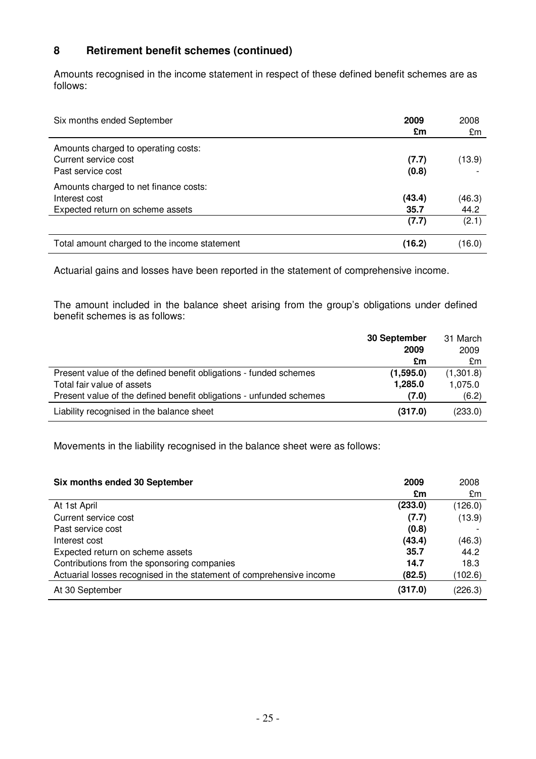# **8 Retirement benefit schemes (continued)**

Amounts recognised in the income statement in respect of these defined benefit schemes are as follows:

| Six months ended September                                                                 | 2009<br>£m     | 2008<br>£m     |
|--------------------------------------------------------------------------------------------|----------------|----------------|
| Amounts charged to operating costs:<br>Current service cost<br>Past service cost           | (7.7)<br>(0.8) | (13.9)         |
| Amounts charged to net finance costs:<br>Interest cost<br>Expected return on scheme assets | (43.4)<br>35.7 | (46.3)<br>44.2 |
|                                                                                            | (7.7)          | (2.1)          |
| Total amount charged to the income statement                                               | (16.2)         | (16.0)         |

Actuarial gains and losses have been reported in the statement of comprehensive income.

The amount included in the balance sheet arising from the group's obligations under defined benefit schemes is as follows:

|                                                                     | 30 September | 31 March  |
|---------------------------------------------------------------------|--------------|-----------|
|                                                                     | 2009         | 2009      |
|                                                                     | £m           | £m        |
| Present value of the defined benefit obligations - funded schemes   | (1,595.0)    | (1,301.8) |
| Total fair value of assets                                          | 1,285.0      | 1,075.0   |
| Present value of the defined benefit obligations - unfunded schemes | (7.0)        | (6.2)     |
| Liability recognised in the balance sheet                           | (317.0)      | (233.0)   |

Movements in the liability recognised in the balance sheet were as follows:

| Six months ended 30 September                                        | 2009    | 2008    |
|----------------------------------------------------------------------|---------|---------|
|                                                                      | £m      | £m      |
| At 1st April                                                         | (233.0) | (126.0) |
| Current service cost                                                 | (7.7)   | (13.9)  |
| Past service cost                                                    | (0.8)   |         |
| Interest cost                                                        | (43.4)  | (46.3)  |
| Expected return on scheme assets                                     | 35.7    | 44.2    |
| Contributions from the sponsoring companies                          | 14.7    | 18.3    |
| Actuarial losses recognised in the statement of comprehensive income | (82.5)  | (102.6) |
| At 30 September                                                      | (317.0) | (226.3) |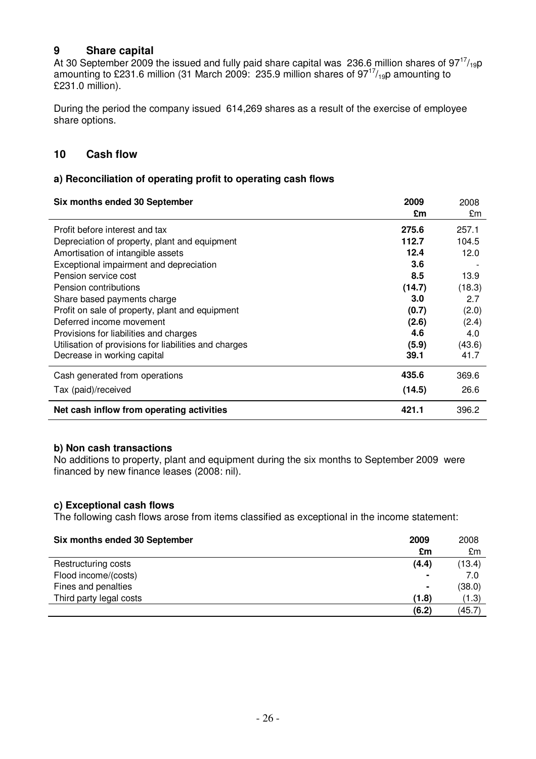# **9 Share capital**

At 30 September 2009 the issued and fully paid share capital was 236.6 million shares of 97 $^{17}/_{19}$ p amounting to £231.6 million (31 March 2009: 235.9 million shares of 97 $\frac{17}{19}$ p amounting to £231.0 million).

During the period the company issued 614,269 shares as a result of the exercise of employee share options.

### **10 Cash flow**

#### **a) Reconciliation of operating profit to operating cash flows**

| Six months ended 30 September                         | 2009   | 2008   |
|-------------------------------------------------------|--------|--------|
|                                                       | £m     | £m     |
| Profit before interest and tax                        | 275.6  | 257.1  |
| Depreciation of property, plant and equipment         | 112.7  | 104.5  |
| Amortisation of intangible assets                     | 12.4   | 12.0   |
| Exceptional impairment and depreciation               | 3.6    |        |
| Pension service cost                                  | 8.5    | 13.9   |
| Pension contributions                                 | (14.7) | (18.3) |
| Share based payments charge                           | 3.0    | 2.7    |
| Profit on sale of property, plant and equipment       | (0.7)  | (2.0)  |
| Deferred income movement                              | (2.6)  | (2.4)  |
| Provisions for liabilities and charges                | 4.6    | 4.0    |
| Utilisation of provisions for liabilities and charges | (5.9)  | (43.6) |
| Decrease in working capital                           | 39.1   | 41.7   |
| Cash generated from operations                        | 435.6  | 369.6  |
| Tax (paid)/received                                   | (14.5) | 26.6   |
| Net cash inflow from operating activities             | 421.1  | 396.2  |

#### **b) Non cash transactions**

No additions to property, plant and equipment during the six months to September 2009 were financed by new finance leases (2008: nil).

#### **c) Exceptional cash flows**

The following cash flows arose from items classified as exceptional in the income statement:

| Six months ended 30 September | 2009<br>£m     | 2008   |
|-------------------------------|----------------|--------|
|                               |                | £m     |
| Restructuring costs           | (4.4)          | (13.4) |
| Flood income/(costs)          | $\blacksquare$ | 7.0    |
| Fines and penalties           | $\blacksquare$ | (38.0) |
| Third party legal costs       | (1.8)          | (1.3)  |
|                               | (6.2)          | (45.7) |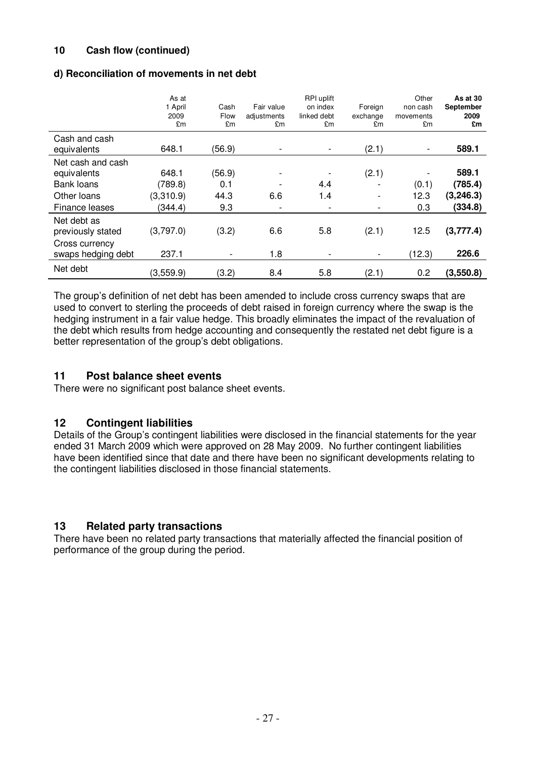### **10 Cash flow (continued)**

### **d) Reconciliation of movements in net debt**

|                                      | As at<br>1 April<br>2009<br>£m | Cash<br>Flow<br>£m | Fair value<br>adjustments<br>£m | RPI uplift<br>on index<br>linked debt<br>£m | Foreign<br>exchange<br>£m | Other<br>non cash<br>movements<br>£m | As at 30<br>September<br>2009<br>£m |
|--------------------------------------|--------------------------------|--------------------|---------------------------------|---------------------------------------------|---------------------------|--------------------------------------|-------------------------------------|
| Cash and cash<br>equivalents         | 648.1                          | (56.9)             |                                 |                                             | (2.1)                     | $\overline{\phantom{a}}$             | 589.1                               |
| Net cash and cash<br>equivalents     | 648.1                          | (56.9)             | ۰                               |                                             | (2.1)                     | ٠                                    | 589.1                               |
| <b>Bank loans</b>                    | (789.8)                        | 0.1                |                                 | 4.4                                         |                           | (0.1)                                | (785.4)                             |
| Other Ioans                          | (3,310.9)                      | 44.3               | 6.6                             | 1.4                                         | $\overline{\phantom{a}}$  | 12.3                                 | (3, 246.3)                          |
| Finance leases                       | (344.4)                        | 9.3                | $\qquad \qquad$                 |                                             | -                         | 0.3                                  | (334.8)                             |
| Net debt as<br>previously stated     | (3,797.0)                      | (3.2)              | 6.6                             | 5.8                                         | (2.1)                     | 12.5                                 | (3,777.4)                           |
| Cross currency<br>swaps hedging debt | 237.1                          |                    | 1.8                             |                                             |                           | (12.3)                               | 226.6                               |
| Net debt                             | (3,559.9)                      | (3.2)              | 8.4                             | 5.8                                         | (2.1)                     | 0.2                                  | (3,550.8)                           |

The group's definition of net debt has been amended to include cross currency swaps that are used to convert to sterling the proceeds of debt raised in foreign currency where the swap is the hedging instrument in a fair value hedge. This broadly eliminates the impact of the revaluation of the debt which results from hedge accounting and consequently the restated net debt figure is a better representation of the group's debt obligations.

### **11 Post balance sheet events**

There were no significant post balance sheet events.

### **12 Contingent liabilities**

Details of the Group's contingent liabilities were disclosed in the financial statements for the year ended 31 March 2009 which were approved on 28 May 2009. No further contingent liabilities have been identified since that date and there have been no significant developments relating to the contingent liabilities disclosed in those financial statements.

### **13 Related party transactions**

There have been no related party transactions that materially affected the financial position of performance of the group during the period.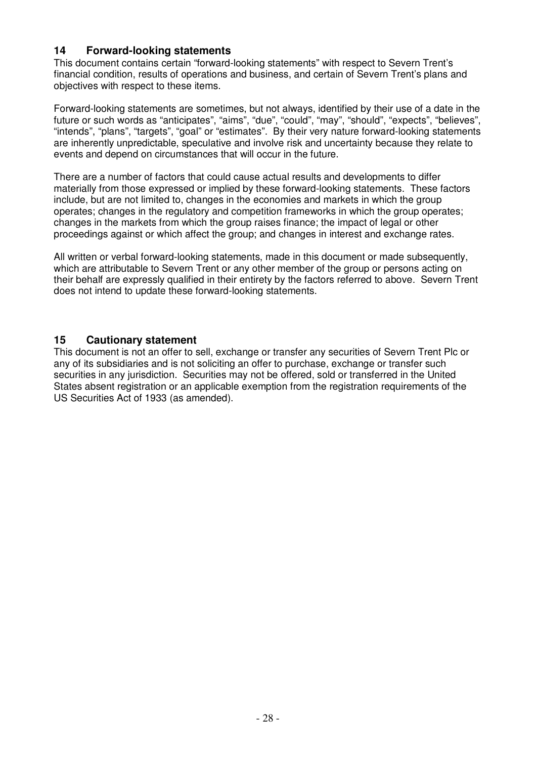### **14 Forward-looking statements**

This document contains certain "forward-looking statements" with respect to Severn Trent's financial condition, results of operations and business, and certain of Severn Trent's plans and objectives with respect to these items.

Forward-looking statements are sometimes, but not always, identified by their use of a date in the future or such words as "anticipates", "aims", "due", "could", "may", "should", "expects", "believes", "intends", "plans", "targets", "goal" or "estimates". By their very nature forward-looking statements are inherently unpredictable, speculative and involve risk and uncertainty because they relate to events and depend on circumstances that will occur in the future.

There are a number of factors that could cause actual results and developments to differ materially from those expressed or implied by these forward-looking statements. These factors include, but are not limited to, changes in the economies and markets in which the group operates; changes in the regulatory and competition frameworks in which the group operates; changes in the markets from which the group raises finance; the impact of legal or other proceedings against or which affect the group; and changes in interest and exchange rates.

All written or verbal forward-looking statements, made in this document or made subsequently, which are attributable to Severn Trent or any other member of the group or persons acting on their behalf are expressly qualified in their entirety by the factors referred to above. Severn Trent does not intend to update these forward-looking statements.

### **15 Cautionary statement**

This document is not an offer to sell, exchange or transfer any securities of Severn Trent Plc or any of its subsidiaries and is not soliciting an offer to purchase, exchange or transfer such securities in any jurisdiction. Securities may not be offered, sold or transferred in the United States absent registration or an applicable exemption from the registration requirements of the US Securities Act of 1933 (as amended).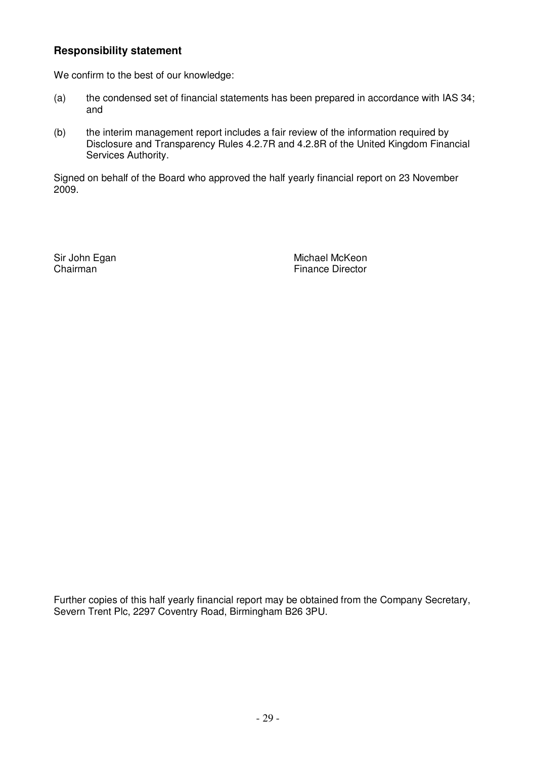# **Responsibility statement**

We confirm to the best of our knowledge:

- (a) the condensed set of financial statements has been prepared in accordance with IAS 34; and
- (b) the interim management report includes a fair review of the information required by Disclosure and Transparency Rules 4.2.7R and 4.2.8R of the United Kingdom Financial Services Authority.

Signed on behalf of the Board who approved the half yearly financial report on 23 November 2009.

Sir John Egan Michael McKeon (Michael McKeon Chairman) Finance Director

Further copies of this half yearly financial report may be obtained from the Company Secretary, Severn Trent Plc, 2297 Coventry Road, Birmingham B26 3PU.